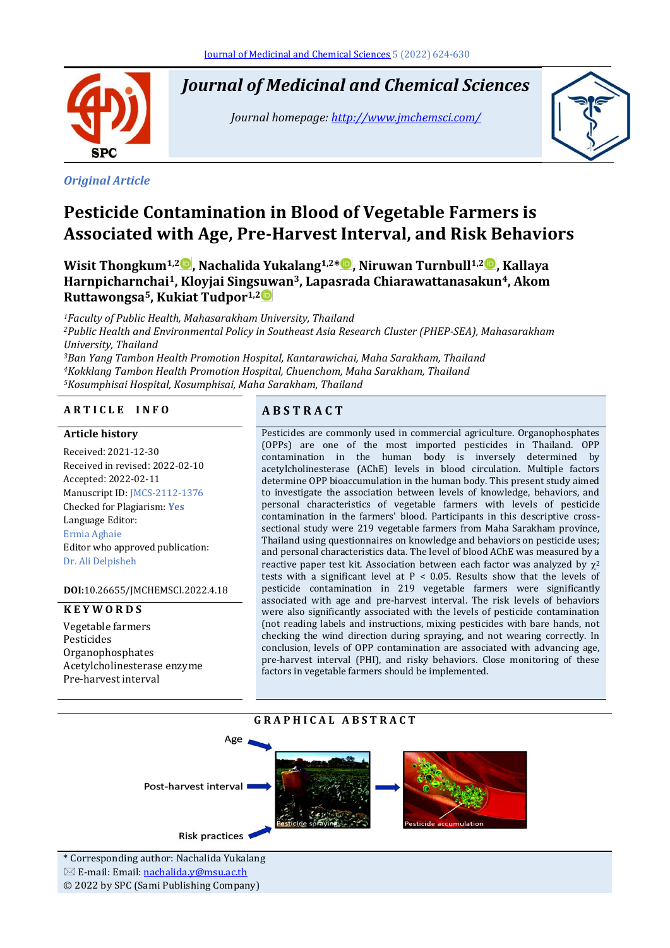

*Journal of Medicinal and Chemical Sciences*

*Journal homepage[: http://www.jmchemsci.com/](http://www.jmchemsci.com/)*



#### *Original Article*

# **Pesticide Contamination in Blood of Vegetable Farmers is Associated with Age, Pre-Harvest Interval, and Risk Behaviors**

**Wisit Thongkum1,2 , Nachalida Yukalang1,2\* , Niruwan Turnbull1,2 , Kallaya Harnpicharnchai1, Kloyjai Singsuwan3, Lapasrada Chiarawattanasakun4, Akom Ruttawongsa5, Kukiat Tudpor1,2**

*Faculty of Public Health, Mahasarakham University, Thailand Public Health and Environmental Policy in Southeast Asia Research Cluster (PHEP-SEA), Mahasarakham University, Thailand Ban Yang Tambon Health Promotion Hospital, Kantarawichai, Maha Sarakham, Thailand Kokklang Tambon Health Promotion Hospital, Chuenchom, Maha Sarakham, Thailand Kosumphisai Hospital, Kosumphisai, Maha Sarakham, Thailand*

#### **A R T I C L E I N F O A B S T R A C T**

#### **Article history**

Received: 2021-12-30 Received in revised: 2022-02-10 Accepted: 2022-02-11 Manuscript ID: JMCS-2112-1376 Checked for Plagiarism: **Yes** Language Editor: Ermia Aghaie Editor who approved publication: Dr. Ali Delpisheh

**DOI:**10.26655/JMCHEMSCI.2022.4.18

#### **K E Y W O R D S**

Vegetable farmers Pesticides Organophosphates Acetylcholinesterase enzyme Pre-harvest interval

Pesticides are commonly used in commercial agriculture. Organophosphates (OPPs) are one of the most imported pesticides in Thailand. OPP contamination in the human body is inversely determined by acetylcholinesterase (AChE) levels in blood circulation. Multiple factors determine OPP bioaccumulation in the human body. This present study aimed to investigate the association between levels of knowledge, behaviors, and personal characteristics of vegetable farmers with levels of pesticide contamination in the farmers' blood. Participants in this descriptive crosssectional study were 219 vegetable farmers from Maha Sarakham province, Thailand using questionnaires on knowledge and behaviors on pesticide uses; and personal characteristics data. The level of blood AChE was measured by a reactive paper test kit. Association between each factor was analyzed by  $\chi^2$ tests with a significant level at  $P < 0.05$ . Results show that the levels of pesticide contamination in 219 vegetable farmers were significantly associated with age and pre-harvest interval. The risk levels of behaviors were also significantly associated with the levels of pesticide contamination (not reading labels and instructions, mixing pesticides with bare hands, not checking the wind direction during spraying, and not wearing correctly. In conclusion, levels of OPP contamination are associated with advancing age, pre-harvest interval (PHI), and risky behaviors. Close monitoring of these factors in vegetable farmers should be implemented.

#### **G R A P H I C A L A B S T R A C T**



**Risk practices** 

\* Corresponding author: Nachalida Yukalang  $\boxtimes$  E-mail: Email: [nachalida.y@msu.ac.th](mailto:nachalida.y@msu.ac.th) © 2022 by SPC (Sami Publishing Company)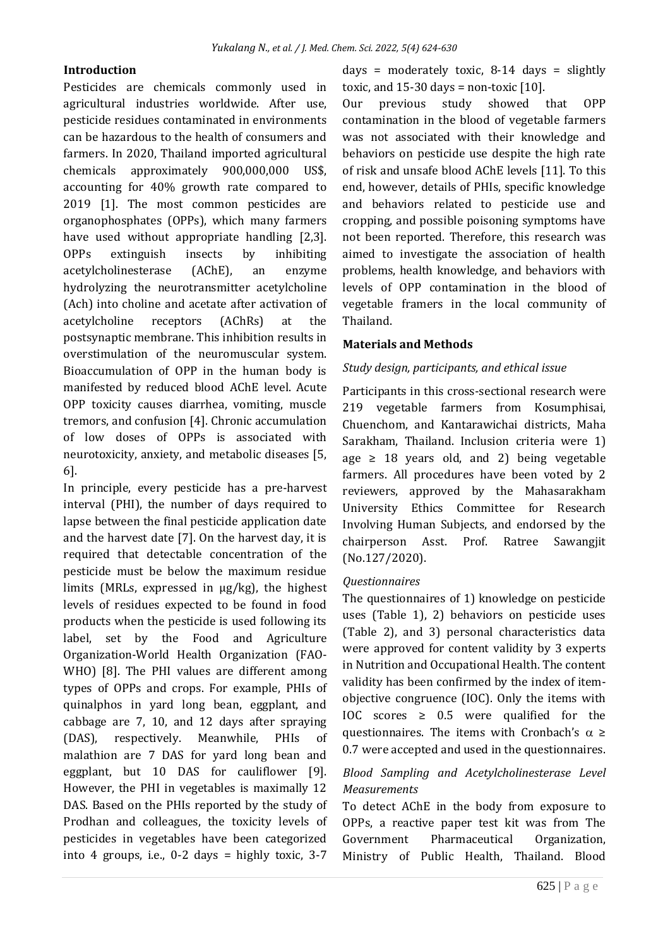#### **Introduction**

Pesticides are chemicals commonly used in agricultural industries worldwide. After use, pesticide residues contaminated in environments can be hazardous to the health of consumers and farmers. In 2020, Thailand imported agricultural chemicals approximately 900,000,000 US\$, accounting for 40% growth rate compared to 2019 [1]. The most common pesticides are organophosphates (OPPs), which many farmers have used without appropriate handling [2,3]. OPPs extinguish insects by inhibiting acetylcholinesterase (AChE), an enzyme hydrolyzing the neurotransmitter acetylcholine (Ach) into choline and acetate after activation of acetylcholine receptors (AChRs) at the postsynaptic membrane. This inhibition results in overstimulation of the neuromuscular system. Bioaccumulation of OPP in the human body is manifested by reduced blood AChE level. Acute OPP toxicity causes diarrhea, vomiting, muscle tremors, and confusion [4]. Chronic accumulation of low doses of OPPs is associated with neurotoxicity, anxiety, and metabolic diseases [5, 6].

In principle, every pesticide has a pre-harvest interval (PHI), the number of days required to lapse between the final pesticide application date and the harvest date [7]. On the harvest day, it is required that detectable concentration of the pesticide must be below the maximum residue limits (MRLs, expressed in µg/kg), the highest levels of residues expected to be found in food products when the pesticide is used following its label, set by the Food and Agriculture Organization-World Health Organization (FAO-WHO) [8]. The PHI values are different among types of OPPs and crops. For example, PHIs of quinalphos in yard long bean, eggplant, and cabbage are 7, 10, and 12 days after spraying (DAS), respectively. Meanwhile, PHIs of malathion are 7 DAS for yard long bean and eggplant, but 10 DAS for cauliflower [9]. However, the PHI in vegetables is maximally 12 DAS. Based on the PHIs reported by the study of Prodhan and colleagues, the toxicity levels of pesticides in vegetables have been categorized into 4 groups, i.e., 0-2 days = highly toxic, 3-7

days = moderately toxic,  $8-14$  days = slightly toxic, and  $15-30$  days = non-toxic  $[10]$ .

Our previous study showed that OPP contamination in the blood of vegetable farmers was not associated with their knowledge and behaviors on pesticide use despite the high rate of risk and unsafe blood AChE levels [11]. To this end, however, details of PHIs, specific knowledge and behaviors related to pesticide use and cropping, and possible poisoning symptoms have not been reported. Therefore, this research was aimed to investigate the association of health problems, health knowledge, and behaviors with levels of OPP contamination in the blood of vegetable framers in the local community of Thailand.

# **Materials and Methods**

#### *Study design, participants, and ethical issue*

Participants in this cross-sectional research were 219 vegetable farmers from Kosumphisai, Chuenchom, and Kantarawichai districts, Maha Sarakham, Thailand. Inclusion criteria were 1) age  $\geq$  18 years old, and 2) being vegetable farmers. All procedures have been voted by 2 reviewers, approved by the Mahasarakham University Ethics Committee for Research Involving Human Subjects, and endorsed by the chairperson Asst. Prof. Ratree Sawangjit (No.127/2020).

#### *Questionnaires*

The questionnaires of 1) knowledge on pesticide uses (Table 1), 2) behaviors on pesticide uses (Table 2), and 3) personal characteristics data were approved for content validity by 3 experts in Nutrition and Occupational Health. The content validity has been confirmed by the index of itemobjective congruence (IOC). Only the items with IOC scores  $\geq$  0.5 were qualified for the questionnaires. The items with Cronbach's  $\alpha \ge$ 0.7 were accepted and used in the questionnaires.

# *Blood Sampling and Acetylcholinesterase Level Measurements*

To detect AChE in the body from exposure to OPPs, a reactive paper test kit was from The Government Pharmaceutical Organization, Ministry of Public Health, Thailand. Blood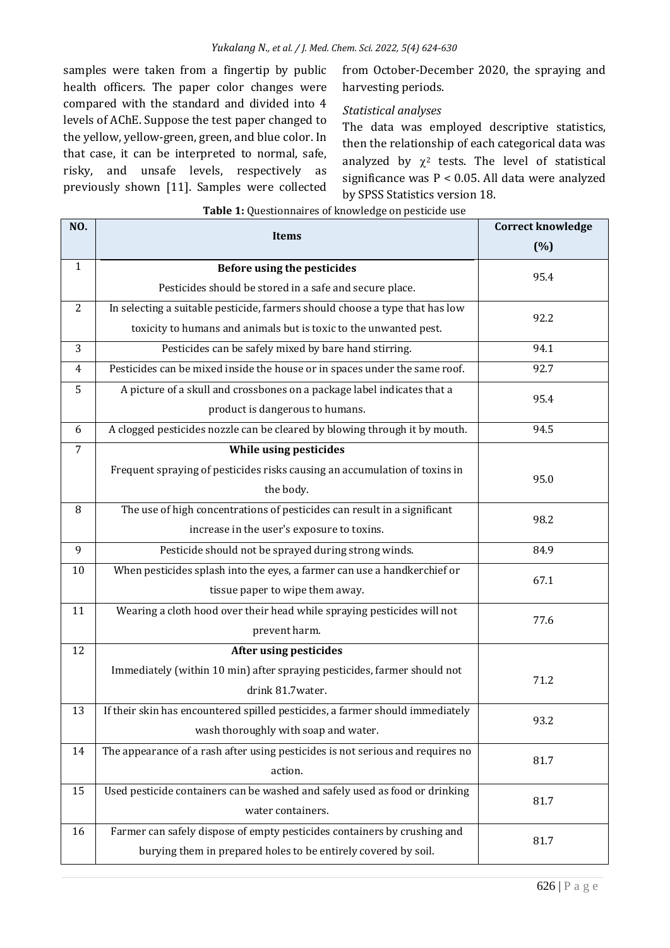samples were taken from a fingertip by public health officers. The paper color changes were compared with the standard and divided into 4 levels of AChE. Suppose the test paper changed to the yellow, yellow-green, green, and blue color. In that case, it can be interpreted to normal, safe, risky, and unsafe levels, respectively as previously shown [11]. Samples were collected from October-December 2020, the spraying and harvesting periods.

# *Statistical analyses*

The data was employed descriptive statistics, then the relationship of each categorical data was analyzed by  $\chi^2$  tests. The level of statistical significance was P < 0.05. All data were analyzed by SPSS Statistics version 18.

| NO.            | <b>Items</b>                                                                   | <b>Correct knowledge</b> |  |  |
|----------------|--------------------------------------------------------------------------------|--------------------------|--|--|
|                |                                                                                | (%)                      |  |  |
| $\mathbf{1}$   | <b>Before using the pesticides</b>                                             | 95.4                     |  |  |
|                | Pesticides should be stored in a safe and secure place.                        |                          |  |  |
| 2              | In selecting a suitable pesticide, farmers should choose a type that has low   | 92.2                     |  |  |
|                | toxicity to humans and animals but is toxic to the unwanted pest.              |                          |  |  |
| 3              | Pesticides can be safely mixed by bare hand stirring.                          | 94.1                     |  |  |
| 4              | Pesticides can be mixed inside the house or in spaces under the same roof.     | 92.7                     |  |  |
| 5              | A picture of a skull and crossbones on a package label indicates that a        | 95.4                     |  |  |
|                | product is dangerous to humans.                                                |                          |  |  |
| 6              | A clogged pesticides nozzle can be cleared by blowing through it by mouth.     | 94.5                     |  |  |
| $\overline{7}$ | While using pesticides                                                         |                          |  |  |
|                | Frequent spraying of pesticides risks causing an accumulation of toxins in     | 95.0                     |  |  |
|                | the body.                                                                      |                          |  |  |
| 8              | The use of high concentrations of pesticides can result in a significant       | 98.2                     |  |  |
|                | increase in the user's exposure to toxins.                                     |                          |  |  |
| 9              | Pesticide should not be sprayed during strong winds.                           | 84.9                     |  |  |
| 10             | When pesticides splash into the eyes, a farmer can use a handkerchief or       | 67.1                     |  |  |
|                | tissue paper to wipe them away.                                                |                          |  |  |
| 11             | Wearing a cloth hood over their head while spraying pesticides will not        | 77.6                     |  |  |
|                | prevent harm.                                                                  |                          |  |  |
| 12             | After using pesticides                                                         |                          |  |  |
|                | Immediately (within 10 min) after spraying pesticides, farmer should not       | 71.2                     |  |  |
|                | drink 81.7water.                                                               |                          |  |  |
| 13             | If their skin has encountered spilled pesticides, a farmer should immediately  | 93.2                     |  |  |
|                | wash thoroughly with soap and water.                                           |                          |  |  |
| 14             | The appearance of a rash after using pesticides is not serious and requires no | 81.7                     |  |  |
|                | action.                                                                        |                          |  |  |
| 15             | Used pesticide containers can be washed and safely used as food or drinking    | 81.7                     |  |  |
|                | water containers.                                                              |                          |  |  |
| 16             | Farmer can safely dispose of empty pesticides containers by crushing and       | 81.7                     |  |  |
|                | burying them in prepared holes to be entirely covered by soil.                 |                          |  |  |

#### **Table 1:** Questionnaires of knowledge on pesticide use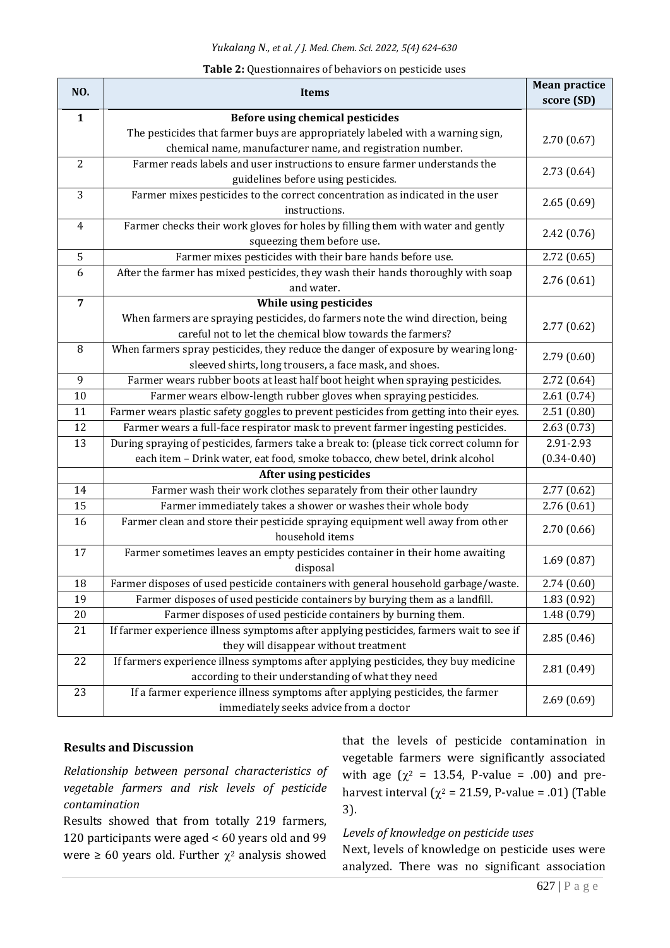|  | Table 2: Questionnaires of behaviors on pesticide uses |  |  |  |
|--|--------------------------------------------------------|--|--|--|
|--|--------------------------------------------------------|--|--|--|

| NO.            | Items                                                                                                                                        | <b>Mean practice</b><br>score (SD) |  |
|----------------|----------------------------------------------------------------------------------------------------------------------------------------------|------------------------------------|--|
| $\mathbf{1}$   | <b>Before using chemical pesticides</b>                                                                                                      |                                    |  |
|                | The pesticides that farmer buys are appropriately labeled with a warning sign,<br>chemical name, manufacturer name, and registration number. | 2.70(0.67)                         |  |
| $\overline{2}$ | Farmer reads labels and user instructions to ensure farmer understands the                                                                   | 2.73(0.64)                         |  |
|                | guidelines before using pesticides.                                                                                                          |                                    |  |
| 3              | Farmer mixes pesticides to the correct concentration as indicated in the user<br>instructions.                                               | 2.65(0.69)                         |  |
| $\overline{4}$ | Farmer checks their work gloves for holes by filling them with water and gently<br>squeezing them before use.                                | 2.42(0.76)                         |  |
| 5              | Farmer mixes pesticides with their bare hands before use.                                                                                    | 2.72(0.65)                         |  |
| 6              | After the farmer has mixed pesticides, they wash their hands thoroughly with soap                                                            |                                    |  |
|                | and water.                                                                                                                                   | 2.76(0.61)                         |  |
| $\overline{7}$ | While using pesticides                                                                                                                       |                                    |  |
|                | When farmers are spraying pesticides, do farmers note the wind direction, being<br>careful not to let the chemical blow towards the farmers? | 2.77(0.62)                         |  |
| 8              | When farmers spray pesticides, they reduce the danger of exposure by wearing long-                                                           |                                    |  |
|                | sleeved shirts, long trousers, a face mask, and shoes.                                                                                       | 2.79(0.60)                         |  |
| 9              | Farmer wears rubber boots at least half boot height when spraying pesticides.                                                                | 2.72(0.64)                         |  |
| 10             | Farmer wears elbow-length rubber gloves when spraying pesticides.                                                                            | 2.61(0.74)                         |  |
| 11             | Farmer wears plastic safety goggles to prevent pesticides from getting into their eyes.                                                      | 2.51(0.80)                         |  |
| 12             | Farmer wears a full-face respirator mask to prevent farmer ingesting pesticides.                                                             | 2.63(0.73)                         |  |
| 13             | During spraying of pesticides, farmers take a break to: (please tick correct column for                                                      | 2.91-2.93                          |  |
|                | each item - Drink water, eat food, smoke tobacco, chew betel, drink alcohol                                                                  | $(0.34 - 0.40)$                    |  |
|                | <b>After using pesticides</b>                                                                                                                |                                    |  |
| 14             | Farmer wash their work clothes separately from their other laundry                                                                           | 2.77(0.62)                         |  |
| 15             | Farmer immediately takes a shower or washes their whole body                                                                                 | 2.76(0.61)                         |  |
| 16             | Farmer clean and store their pesticide spraying equipment well away from other<br>household items                                            | 2.70(0.66)                         |  |
| 17             | Farmer sometimes leaves an empty pesticides container in their home awaiting<br>disposal                                                     | 1.69(0.87)                         |  |
| 18             | Farmer disposes of used pesticide containers with general household garbage/waste.                                                           | 2.74(0.60)                         |  |
| 19             | Farmer disposes of used pesticide containers by burying them as a landfill.                                                                  | 1.83(0.92)                         |  |
| 20             | Farmer disposes of used pesticide containers by burning them.                                                                                | 1.48(0.79)                         |  |
| 21             | If farmer experience illness symptoms after applying pesticides, farmers wait to see if                                                      | 2.85(0.46)                         |  |
|                | they will disappear without treatment                                                                                                        |                                    |  |
| 22             | If farmers experience illness symptoms after applying pesticides, they buy medicine<br>according to their understanding of what they need    | 2.81(0.49)                         |  |
| 23             | If a farmer experience illness symptoms after applying pesticides, the farmer<br>immediately seeks advice from a doctor                      | 2.69(0.69)                         |  |

#### **Results and Discussion**

*Relationship between personal characteristics of vegetable farmers and risk levels of pesticide contamination*

Results showed that from totally 219 farmers, 120 participants were aged < 60 years old and 99 were  $\geq 60$  years old. Further  $\chi^2$  analysis showed

that the levels of pesticide contamination in vegetable farmers were significantly associated with age ( $\chi^2$  = 13.54, P-value = .00) and preharvest interval ( $\chi^2$  = 21.59, P-value = .01) (Table 3).

*Levels of knowledge on pesticide uses*

Next, levels of knowledge on pesticide uses were analyzed. There was no significant association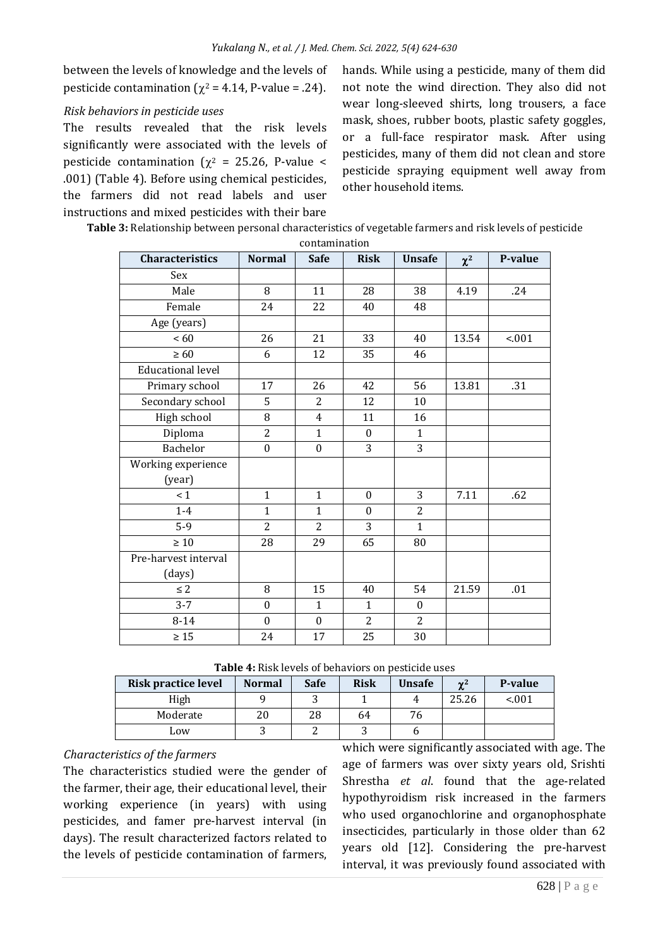between the levels of knowledge and the levels of pesticide contamination ( $\chi^2$  = 4.14, P-value = .24).

#### *Risk behaviors in pesticide uses*

The results revealed that the risk levels significantly were associated with the levels of pesticide contamination ( $\chi^2$  = 25.26, P-value < .001) (Table 4). Before using chemical pesticides, the farmers did not read labels and user instructions and mixed pesticides with their bare

hands. While using a pesticide, many of them did not note the wind direction. They also did not wear long-sleeved shirts, long trousers, a face mask, shoes, rubber boots, plastic safety goggles, or a full-face respirator mask. After using pesticides, many of them did not clean and store pesticide spraying equipment well away from other household items.

| Table 3: Relationship between personal characteristics of vegetable farmers and risk levels of pesticide |
|----------------------------------------------------------------------------------------------------------|
| contamination                                                                                            |

| <b>Characteristics</b>   | <b>Normal</b>    | <b>Safe</b>      | <b>Risk</b>      | <b>Unsafe</b>    | $\chi^2$ | P-value |
|--------------------------|------------------|------------------|------------------|------------------|----------|---------|
| Sex                      |                  |                  |                  |                  |          |         |
| Male                     | 8                | 11               | 28               | 38               | 4.19     | .24     |
| Female                   | 24               | 22               | 40               | 48               |          |         |
| Age (years)              |                  |                  |                  |                  |          |         |
| <60                      | 26               | 21               | 33               | 40               | 13.54    | < .001  |
| $\geq 60$                | 6                | 12               | 35               | 46               |          |         |
| <b>Educational level</b> |                  |                  |                  |                  |          |         |
| Primary school           | 17               | 26               | 42               | 56               | 13.81    | .31     |
| Secondary school         | 5                | $\overline{2}$   | 12               | 10               |          |         |
| High school              | 8                | 4                | 11               | 16               |          |         |
| Diploma                  | $\overline{2}$   | $\mathbf{1}$     | $\boldsymbol{0}$ | $\mathbf{1}$     |          |         |
| <b>Bachelor</b>          | $\boldsymbol{0}$ | $\mathbf{0}$     | 3                | 3                |          |         |
| Working experience       |                  |                  |                  |                  |          |         |
| (year)                   |                  |                  |                  |                  |          |         |
| $\leq 1$                 | $\mathbf{1}$     | $\mathbf{1}$     | $\mathbf{0}$     | 3                | 7.11     | .62     |
| $1 - 4$                  | $\mathbf{1}$     | $\mathbf{1}$     | $\mathbf{0}$     | $\overline{2}$   |          |         |
| $5-9$                    | $\overline{2}$   | $\overline{2}$   | 3                | $\mathbf{1}$     |          |         |
| $\geq 10$                | 28               | 29               | 65               | 80               |          |         |
| Pre-harvest interval     |                  |                  |                  |                  |          |         |
| (days)                   |                  |                  |                  |                  |          |         |
| $\leq 2$                 | 8                | 15               | 40               | 54               | 21.59    | .01     |
| $3 - 7$                  | $\boldsymbol{0}$ | $\mathbf{1}$     | $\mathbf{1}$     | $\boldsymbol{0}$ |          |         |
| $8 - 14$                 | $\boldsymbol{0}$ | $\boldsymbol{0}$ | $\overline{2}$   | $\overline{2}$   |          |         |
| $\geq 15$                | 24               | 17               | 25               | 30               |          |         |

**Table 4:** Risk levels of behaviors on pesticide uses

| Risk practice level | <b>Normal</b> | <b>Safe</b> | <b>Risk</b> | <b>Unsafe</b> | $\sim$ <sup>2</sup> | P-value |
|---------------------|---------------|-------------|-------------|---------------|---------------------|---------|
| High                |               |             |             |               | 25.26               | < 0.01  |
| Moderate            | 20            | 28          | 64          | 76            |                     |         |
| Low                 |               |             |             |               |                     |         |

# *Characteristics of the farmers*

The characteristics studied were the gender of the farmer, their age, their educational level, their working experience (in years) with using pesticides, and famer pre-harvest interval (in days). The result characterized factors related to the levels of pesticide contamination of farmers,

which were significantly associated with age. The age of farmers was over sixty years old, Srishti Shrestha *et al*. found that the age-related hypothyroidism risk increased in the farmers who used organochlorine and organophosphate insecticides, particularly in those older than 62 years old [12]. Considering the pre-harvest interval, it was previously found associated with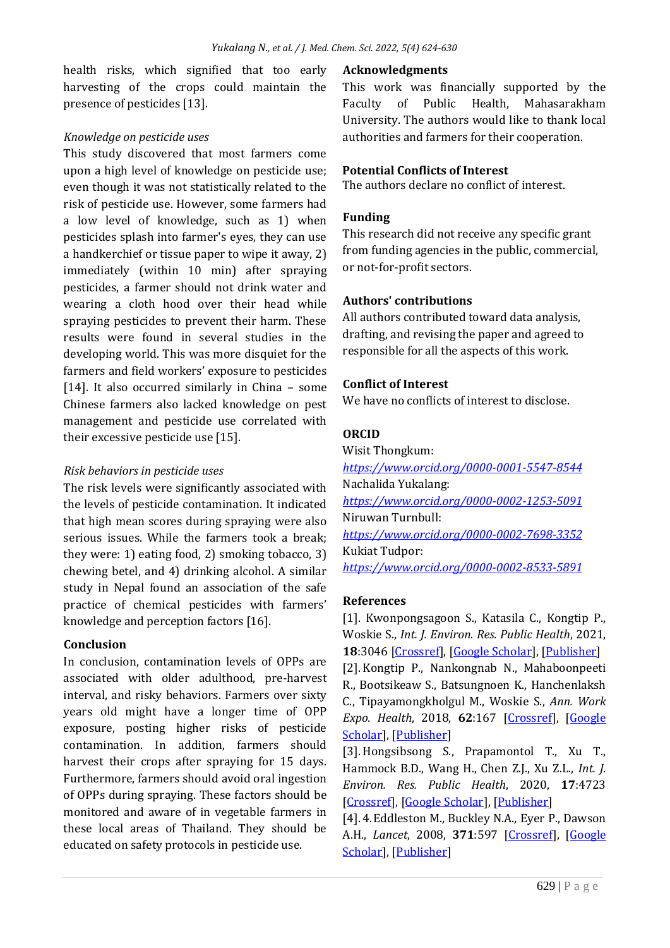health risks, which signified that too early harvesting of the crops could maintain the presence of pesticides [13].

# *Knowledge on pesticide uses*

This study discovered that most farmers come upon a high level of knowledge on pesticide use; even though it was not statistically related to the risk of pesticide use. However, some farmers had a low level of knowledge, such as 1) when pesticides splash into farmer's eyes, they can use a handkerchief or tissue paper to wipe it away, 2) immediately (within 10 min) after spraying pesticides, a farmer should not drink water and wearing a cloth hood over their head while spraying pesticides to prevent their harm. These results were found in several studies in the developing world. This was more disquiet for the farmers and field workers' exposure to pesticides [14]. It also occurred similarly in China - some Chinese farmers also lacked knowledge on pest management and pesticide use correlated with their excessive pesticide use [15].

# *Risk behaviors in pesticide uses*

The risk levels were significantly associated with the levels of pesticide contamination. It indicated that high mean scores during spraying were also serious issues. While the farmers took a break; they were: 1) eating food, 2) smoking tobacco, 3) chewing betel, and 4) drinking alcohol. A similar study in Nepal found an association of the safe practice of chemical pesticides with farmers' knowledge and perception factors [16].

#### **Conclusion**

In conclusion, contamination levels of OPPs are associated with older adulthood, pre-harvest interval, and risky behaviors. Farmers over sixty years old might have a longer time of OPP exposure, posting higher risks of pesticide contamination. In addition, farmers should harvest their crops after spraying for 15 days. Furthermore, farmers should avoid oral ingestion of OPPs during spraying. These factors should be monitored and aware of in vegetable farmers in these local areas of Thailand. They should be educated on safety protocols in pesticide use.

#### **Acknowledgments**

This work was financially supported by the Faculty of Public Health, Mahasarakham University. The authors would like to thank local authorities and farmers for their cooperation.

#### **Potential Conflicts of Interest**

The authors declare no conflict of interest.

# **Funding**

This research did not receive any specific grant from funding agencies in the public, commercial, or not-for-profit sectors.

#### **Authors' contributions**

All authors contributed toward data analysis, drafting, and revising the paper and agreed to responsible for all the aspects of this work.

#### **Conflict of Interest**

We have no conflicts of interest to disclose.

# **ORCID**

Wisit Thongkum: *<https://www.orcid.org/0000-0001-5547-8544>* Nachalida Yukalang: *<https://www.orcid.org/0000-0002-1253-5091>* Niruwan Turnbull: *<https://www.orcid.org/0000-0002-7698-3352>* Kukiat Tudpor: *<https://www.orcid.org/0000-0002-8533-5891>*

#### **References**

[1]. Kwonpongsagoon S., Katasila C., Kongtip P., Woskie S., *Int. J. Environ. Res. Public Health*, 2021, **18**:3046 [\[Crossref\]](https://doi.org/10.3390/ijerph18063046), [\[Google Scholar\]](https://scholar.google.com/scholar?hl=en&as_sdt=0%2C5&q=Application+Intensity+and+Spatial+Distribution+of+Three+Major+Herbicides+from+Agricultural+and+Nonagricultural+Practices+in+the+Central+Plain+of+Thailand&btnG=), [\[Publisher\]](https://www.mdpi.com/1660-4601/18/6/3046) [2]. Kongtip P., Nankongnab N., Mahaboonpeeti R., Bootsikeaw S., Batsungnoen K., Hanchenlaksh C., Tipayamongkholgul M., Woskie S., *Ann. Work Expo. Health*, 2018, **62**:167 [\[Crossref\]](https://doi.org/10.1093/annweh/wxx099), [\[Google](https://scholar.google.com/scholar?hl=en&as_sdt=0%2C5&q=Differences+among+Thai+Agricultural+Workers%E2%80%99+Health%2C+Working+Conditions%2C+and+Pesticide+Use+by+Farm+Type&btnG=)  [Scholar\]](https://scholar.google.com/scholar?hl=en&as_sdt=0%2C5&q=Differences+among+Thai+Agricultural+Workers%E2%80%99+Health%2C+Working+Conditions%2C+and+Pesticide+Use+by+Farm+Type&btnG=), [\[Publisher\]](https://academic.oup.com/annweh/article/62/2/167/4830215)

[3]. Hongsibsong S., Prapamontol T., Xu T., Hammock B.D., Wang H., Chen Z.J., Xu Z.L., *Int. J. Environ. Res. Public Health*, 2020, **17**:4723 [\[Crossref\]](https://doi.org/10.3390/ijerph17134723), [\[Google Scholar\]](https://scholar.google.com/scholar?hl=en&as_sdt=0%2C5&q=Monitoring+of+the+Organophosphate+Pesticide+Chlorpyrifos+in+Vegetable+Samples+from+Local+Markets+in+Northern+Thailand+by+Developed+Immunoassay&btnG=), [\[Publisher\]](https://www.mdpi.com/1660-4601/17/13/4723)

[4]. 4.Eddleston M., Buckley N.A., Eyer P., Dawson A.H., *Lancet*, 2008, **371**:597 [\[Crossref\]](https://doi.org/10.1016/s0140-6736(07)61202-1), [\[Google](https://scholar.google.com/scholar?hl=en&as_sdt=0%2C5&q=Management+of+acute+organophosphorus+pesticide+poisoning&btnG=)  [Scholar\]](https://scholar.google.com/scholar?hl=en&as_sdt=0%2C5&q=Management+of+acute+organophosphorus+pesticide+poisoning&btnG=), [\[Publisher\]](https://www.thelancet.com/journals/lancet/article/PIIS0140-6736(07)61202-1/fulltext)